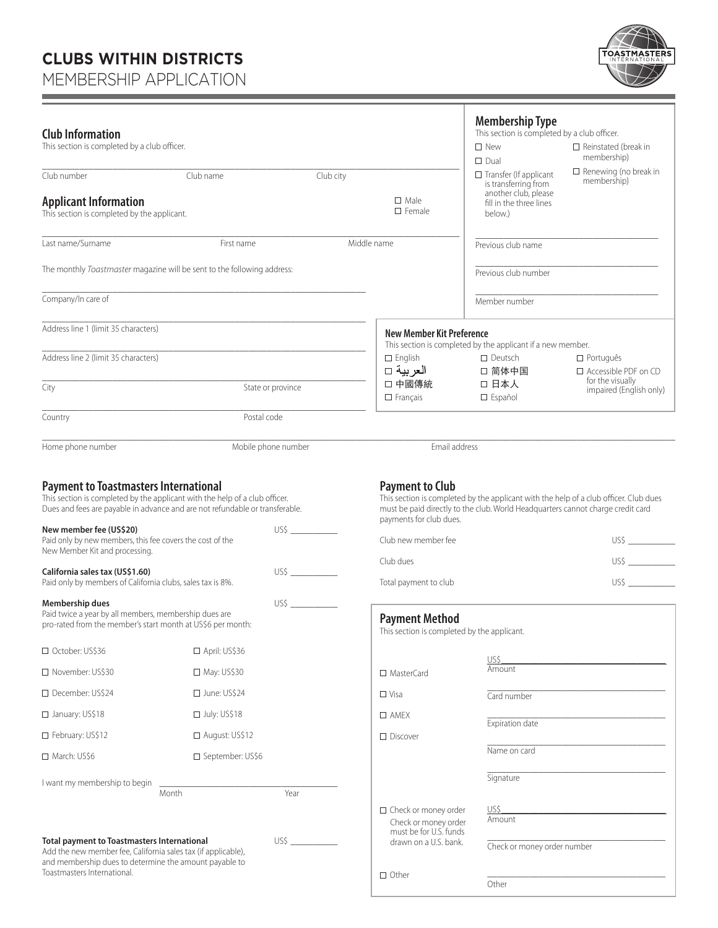# **CLUBS WITHIN DISTRICTS**

MEMBERSHIP APPLICATION

٠



| <b>Club Information</b><br>This section is completed by a club officer.                                                                                                                                                                                                                                                               |                       |                       |                                                                                                                        | <b>Membership Type</b><br>This section is completed by a club officer.<br>$\square$ New<br>$\square$ Dual                                                                | $\Box$ Reinstated (break in<br>membership)      |  |
|---------------------------------------------------------------------------------------------------------------------------------------------------------------------------------------------------------------------------------------------------------------------------------------------------------------------------------------|-----------------------|-----------------------|------------------------------------------------------------------------------------------------------------------------|--------------------------------------------------------------------------------------------------------------------------------------------------------------------------|-------------------------------------------------|--|
| Club number                                                                                                                                                                                                                                                                                                                           | Club name             | Club city             |                                                                                                                        | $\Box$ Transfer (If applicant<br>is transferring from                                                                                                                    | $\Box$ Renewing (no break in<br>membership)     |  |
| <b>Applicant Information</b><br>This section is completed by the applicant.                                                                                                                                                                                                                                                           |                       |                       | $\Box$ Male<br>$\square$ Female                                                                                        | another club, please<br>fill in the three lines<br>below.)                                                                                                               |                                                 |  |
| Last name/Surname                                                                                                                                                                                                                                                                                                                     | First name            |                       | Middle name                                                                                                            | Previous club name                                                                                                                                                       |                                                 |  |
| The monthly Toastmaster magazine will be sent to the following address:                                                                                                                                                                                                                                                               |                       |                       |                                                                                                                        | Previous club number                                                                                                                                                     |                                                 |  |
| Company/In care of                                                                                                                                                                                                                                                                                                                    |                       |                       |                                                                                                                        | Member number                                                                                                                                                            |                                                 |  |
| Address line 1 (limit 35 characters)                                                                                                                                                                                                                                                                                                  |                       |                       |                                                                                                                        | <b>New Member Kit Preference</b><br>This section is completed by the applicant if a new member.                                                                          |                                                 |  |
| Address line 2 (limit 35 characters)                                                                                                                                                                                                                                                                                                  |                       |                       | $\square$ English<br>العربية □                                                                                         | $\Box$ Deutsch<br>□ 简体中国                                                                                                                                                 | $\Box$ Português<br>$\Box$ Accessible PDF on CD |  |
| City                                                                                                                                                                                                                                                                                                                                  |                       | State or province     | □ 中國傳統<br>$\Box$ Français                                                                                              | □ 日本人<br>$\square$ Español                                                                                                                                               | for the visually<br>impaired (English only)     |  |
| Country                                                                                                                                                                                                                                                                                                                               | Postal code           |                       |                                                                                                                        |                                                                                                                                                                          |                                                 |  |
| Home phone number                                                                                                                                                                                                                                                                                                                     |                       | Mobile phone number   | Email address                                                                                                          |                                                                                                                                                                          |                                                 |  |
| <b>Payment to Toastmasters International</b><br>This section is completed by the applicant with the help of a club officer.<br>Dues and fees are payable in advance and are not refundable or transferable.<br>New member fee (US\$20)<br>Paid only by new members, this fee covers the cost of the<br>New Member Kit and processing. |                       |                       | <b>Payment to Club</b><br>payments for club dues.<br>Club new member fee                                               | This section is completed by the applicant with the help of a club officer. Club dues<br>must be paid directly to the club. World Headquarters cannot charge credit card | USS                                             |  |
| California sales tax (US\$1.60)                                                                                                                                                                                                                                                                                                       |                       |                       | Club dues                                                                                                              |                                                                                                                                                                          | USS                                             |  |
| Paid only by members of California clubs, sales tax is 8%.                                                                                                                                                                                                                                                                            |                       |                       | Total payment to club                                                                                                  |                                                                                                                                                                          | US\$                                            |  |
| US\$<br>Membership dues<br>Paid twice a year by all members, membership dues are<br>pro-rated from the member's start month at US\$6 per month:                                                                                                                                                                                       |                       | <b>Payment Method</b> | This section is completed by the applicant.                                                                            |                                                                                                                                                                          |                                                 |  |
| □ October: US\$36                                                                                                                                                                                                                                                                                                                     | $\Box$ April: US\$36  |                       |                                                                                                                        | US\$                                                                                                                                                                     |                                                 |  |
| □ November: US\$30                                                                                                                                                                                                                                                                                                                    | $\Box$ May: US\$30    |                       | $\Box$ MasterCard                                                                                                      | Amount                                                                                                                                                                   |                                                 |  |
| □ December: US\$24                                                                                                                                                                                                                                                                                                                    | $\Box$ June: US\$24   |                       | $\Box$ Visa                                                                                                            | Card number                                                                                                                                                              |                                                 |  |
| □ January: US\$18                                                                                                                                                                                                                                                                                                                     | $\Box$ July: US\$18   |                       | $\Box$ AMFX                                                                                                            | Expiration date                                                                                                                                                          |                                                 |  |
| □ February: US\$12                                                                                                                                                                                                                                                                                                                    | $\Box$ August: US\$12 |                       | $\Box$ Discover                                                                                                        |                                                                                                                                                                          |                                                 |  |
| $\Box$ March: US\$6                                                                                                                                                                                                                                                                                                                   | □ September: US\$6    |                       |                                                                                                                        | Name on card                                                                                                                                                             |                                                 |  |
| I want my membership to begin                                                                                                                                                                                                                                                                                                         | Month                 | Year                  |                                                                                                                        | Signature                                                                                                                                                                |                                                 |  |
| <b>Total payment to Toastmasters International</b><br>Add the new member fee, California sales tax (if applicable),<br>and membership dues to determine the amount payable to<br>Toastmasters International.                                                                                                                          |                       |                       | $\Box$ Check or money order<br>Check or money order<br>must be for U.S. funds<br>drawn on a U.S. bank.<br>$\Box$ Other | US\$<br>Amount<br>Check or money order number<br>Other                                                                                                                   |                                                 |  |